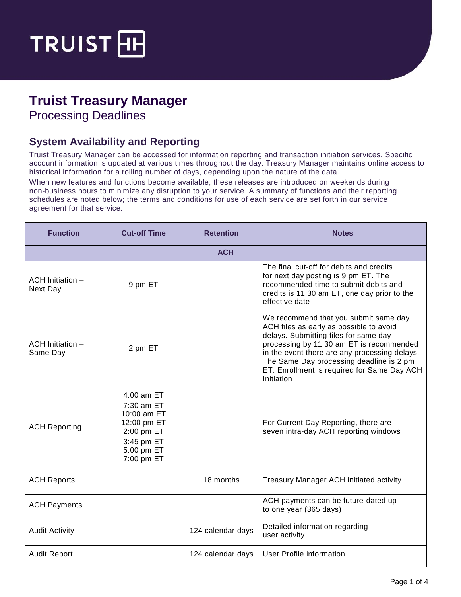

## **Truist Treasury Manager**

Processing Deadlines

## **System Availability and Reporting**

Truist Treasury Manager can be accessed for information reporting and transaction initiation services. Specific account information is updated at various times throughout the day. Treasury Manager maintains online access to historical information for a rolling number of days, depending upon the nature of the data.

When new features and functions become available, these releases are introduced on weekends during non-business hours to minimize any disruption to your service. A summary of functions and their reporting schedules are noted below; the terms and conditions for use of each service are set forth in our service agreement for that service.

| <b>Function</b>              | <b>Cut-off Time</b>                                                                                            | <b>Retention</b>  | <b>Notes</b>                                                                                                                                                                                                                                                                                                                    |  |  |  |
|------------------------------|----------------------------------------------------------------------------------------------------------------|-------------------|---------------------------------------------------------------------------------------------------------------------------------------------------------------------------------------------------------------------------------------------------------------------------------------------------------------------------------|--|--|--|
| <b>ACH</b>                   |                                                                                                                |                   |                                                                                                                                                                                                                                                                                                                                 |  |  |  |
| ACH Initiation -<br>Next Day | 9 pm ET                                                                                                        |                   | The final cut-off for debits and credits<br>for next day posting is 9 pm ET. The<br>recommended time to submit debits and<br>credits is 11:30 am ET, one day prior to the<br>effective date                                                                                                                                     |  |  |  |
| ACH Initiation -<br>Same Day | 2 pm ET                                                                                                        |                   | We recommend that you submit same day<br>ACH files as early as possible to avoid<br>delays. Submitting files for same day<br>processing by 11:30 am ET is recommended<br>in the event there are any processing delays.<br>The Same Day processing deadline is 2 pm<br>ET. Enrollment is required for Same Day ACH<br>Initiation |  |  |  |
| <b>ACH Reporting</b>         | 4:00 am ET<br>7:30 am ET<br>10:00 am ET<br>12:00 pm ET<br>2:00 pm ET<br>3:45 pm ET<br>5:00 pm ET<br>7:00 pm ET |                   | For Current Day Reporting, there are<br>seven intra-day ACH reporting windows                                                                                                                                                                                                                                                   |  |  |  |
| <b>ACH Reports</b>           |                                                                                                                | 18 months         | Treasury Manager ACH initiated activity                                                                                                                                                                                                                                                                                         |  |  |  |
| <b>ACH Payments</b>          |                                                                                                                |                   | ACH payments can be future-dated up<br>to one year (365 days)                                                                                                                                                                                                                                                                   |  |  |  |
| <b>Audit Activity</b>        |                                                                                                                | 124 calendar days | Detailed information regarding<br>user activity                                                                                                                                                                                                                                                                                 |  |  |  |
| <b>Audit Report</b>          |                                                                                                                | 124 calendar days | User Profile information                                                                                                                                                                                                                                                                                                        |  |  |  |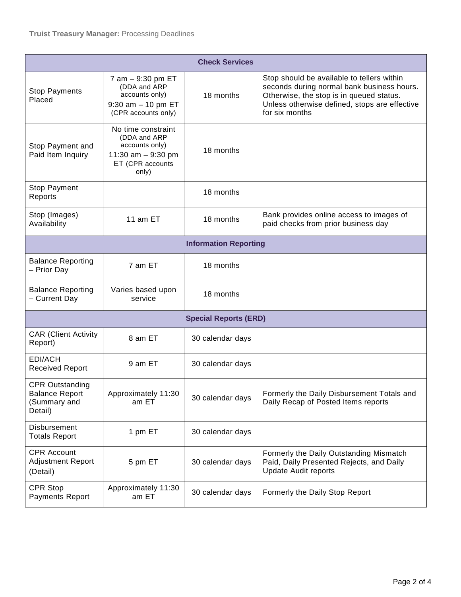| <b>Check Services</b>                                                      |                                                                                                          |                              |                                                                                                                                                                                                         |  |  |
|----------------------------------------------------------------------------|----------------------------------------------------------------------------------------------------------|------------------------------|---------------------------------------------------------------------------------------------------------------------------------------------------------------------------------------------------------|--|--|
| <b>Stop Payments</b><br>Placed                                             | 7 am - 9:30 pm ET<br>(DDA and ARP<br>accounts only)<br>$9:30$ am $-10$ pm ET<br>(CPR accounts only)      | 18 months                    | Stop should be available to tellers within<br>seconds during normal bank business hours.<br>Otherwise, the stop is in queued status.<br>Unless otherwise defined, stops are effective<br>for six months |  |  |
| Stop Payment and<br>Paid Item Inquiry                                      | No time constraint<br>(DDA and ARP<br>accounts only)<br>11:30 am $-9:30$ pm<br>ET (CPR accounts<br>only) | 18 months                    |                                                                                                                                                                                                         |  |  |
| Stop Payment<br>Reports                                                    |                                                                                                          | 18 months                    |                                                                                                                                                                                                         |  |  |
| Stop (Images)<br>Availability                                              | 11 am ET                                                                                                 | 18 months                    | Bank provides online access to images of<br>paid checks from prior business day                                                                                                                         |  |  |
| <b>Information Reporting</b>                                               |                                                                                                          |                              |                                                                                                                                                                                                         |  |  |
| <b>Balance Reporting</b><br>- Prior Day                                    | 7 am ET                                                                                                  | 18 months                    |                                                                                                                                                                                                         |  |  |
| <b>Balance Reporting</b><br>- Current Day                                  | Varies based upon<br>service                                                                             | 18 months                    |                                                                                                                                                                                                         |  |  |
|                                                                            |                                                                                                          | <b>Special Reports (ERD)</b> |                                                                                                                                                                                                         |  |  |
| <b>CAR (Client Activity</b><br>Report)                                     | 8 am ET                                                                                                  | 30 calendar days             |                                                                                                                                                                                                         |  |  |
| EDI/ACH<br><b>Received Report</b>                                          | 9 am ET                                                                                                  | 30 calendar days             |                                                                                                                                                                                                         |  |  |
| <b>CPR Outstanding</b><br><b>Balance Report</b><br>(Summary and<br>Detail) | Approximately 11:30<br>am ET                                                                             | 30 calendar days             | Formerly the Daily Disbursement Totals and<br>Daily Recap of Posted Items reports                                                                                                                       |  |  |
| Disbursement<br><b>Totals Report</b>                                       | 1 pm ET                                                                                                  | 30 calendar days             |                                                                                                                                                                                                         |  |  |
| <b>CPR Account</b><br><b>Adjustment Report</b><br>(Detail)                 | 5 pm ET                                                                                                  | 30 calendar days             | Formerly the Daily Outstanding Mismatch<br>Paid, Daily Presented Rejects, and Daily<br><b>Update Audit reports</b>                                                                                      |  |  |
| CPR Stop<br><b>Payments Report</b>                                         | Approximately 11:30<br>am ET                                                                             | 30 calendar days             | Formerly the Daily Stop Report                                                                                                                                                                          |  |  |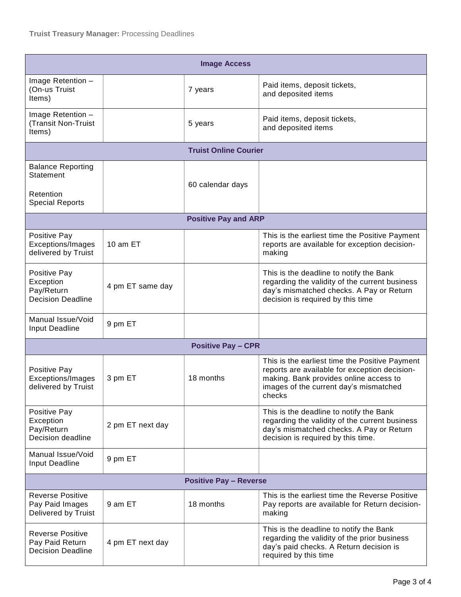| <b>Image Access</b>                                                          |                  |                             |                                                                                                                                                                                               |  |  |
|------------------------------------------------------------------------------|------------------|-----------------------------|-----------------------------------------------------------------------------------------------------------------------------------------------------------------------------------------------|--|--|
| Image Retention -<br>(On-us Truist<br>Items)                                 |                  | 7 years                     | Paid items, deposit tickets,<br>and deposited items                                                                                                                                           |  |  |
| Image Retention -<br>(Transit Non-Truist<br>Items)                           |                  | 5 years                     | Paid items, deposit tickets,<br>and deposited items                                                                                                                                           |  |  |
| <b>Truist Online Courier</b>                                                 |                  |                             |                                                                                                                                                                                               |  |  |
| <b>Balance Reporting</b><br>Statement<br>Retention<br><b>Special Reports</b> |                  | 60 calendar days            |                                                                                                                                                                                               |  |  |
|                                                                              |                  | <b>Positive Pay and ARP</b> |                                                                                                                                                                                               |  |  |
|                                                                              |                  |                             |                                                                                                                                                                                               |  |  |
| Positive Pay<br>Exceptions/Images<br>delivered by Truist                     | 10 am ET         |                             | This is the earliest time the Positive Payment<br>reports are available for exception decision-<br>making                                                                                     |  |  |
| Positive Pay<br>Exception<br>Pay/Return<br><b>Decision Deadline</b>          | 4 pm ET same day |                             | This is the deadline to notify the Bank<br>regarding the validity of the current business<br>day's mismatched checks. A Pay or Return<br>decision is required by this time                    |  |  |
| Manual Issue/Void<br><b>Input Deadline</b>                                   | 9 pm ET          |                             |                                                                                                                                                                                               |  |  |
| <b>Positive Pay - CPR</b>                                                    |                  |                             |                                                                                                                                                                                               |  |  |
| Positive Pay<br>Exceptions/Images<br>delivered by Truist                     | 3 pm ET          | 18 months                   | This is the earliest time the Positive Payment<br>reports are available for exception decision-<br>making. Bank provides online access to<br>images of the current day's mismatched<br>checks |  |  |
| Positive Pay<br>Exception<br>Pay/Return<br>Decision deadline                 | 2 pm ET next day |                             | This is the deadline to notify the Bank<br>regarding the validity of the current business<br>day's mismatched checks. A Pay or Return<br>decision is required by this time.                   |  |  |
| Manual Issue/Void<br><b>Input Deadline</b>                                   | 9 pm ET          |                             |                                                                                                                                                                                               |  |  |
| <b>Positive Pay - Reverse</b>                                                |                  |                             |                                                                                                                                                                                               |  |  |
| <b>Reverse Positive</b><br>Pay Paid Images<br>Delivered by Truist            | 9 am ET          | 18 months                   | This is the earliest time the Reverse Positive<br>Pay reports are available for Return decision-<br>making                                                                                    |  |  |
| <b>Reverse Positive</b><br>Pay Paid Return<br><b>Decision Deadline</b>       | 4 pm ET next day |                             | This is the deadline to notify the Bank<br>regarding the validity of the prior business<br>day's paid checks. A Return decision is<br>required by this time                                   |  |  |